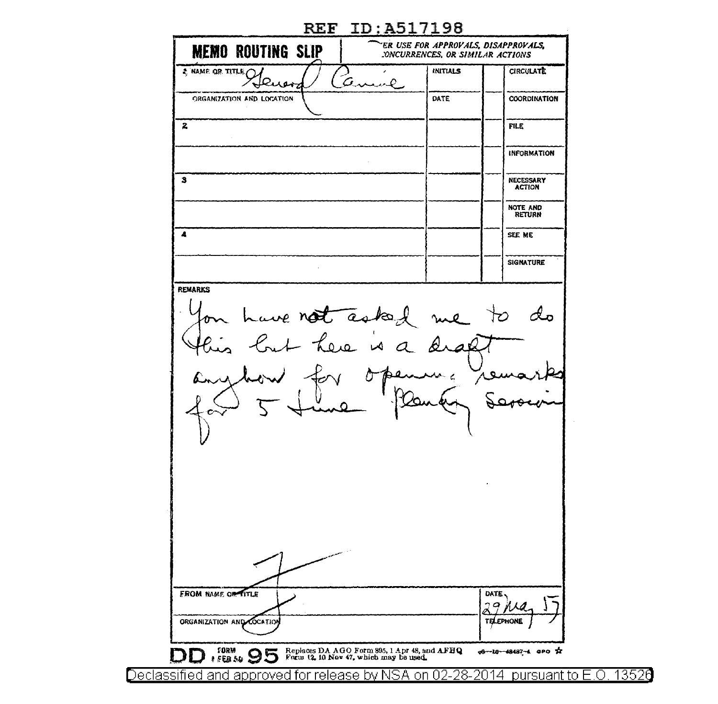| <b>MEMO ROUTING SLIP</b>                               | ER USE FOR APPROVALS, DISAPPROVALS,<br>CONCURRENCES, OR SIMILAR ACTIONS |                                   |
|--------------------------------------------------------|-------------------------------------------------------------------------|-----------------------------------|
| S NAME OR TITLE<br>υ.<br>uen                           | <b>INITIALS</b>                                                         | <b>CIRCULATE</b>                  |
| ORGANIZATION AND LOCATION                              | <b>DATE</b>                                                             | COORDINATION                      |
| 2                                                      |                                                                         | <b>FILE</b>                       |
|                                                        |                                                                         | INFORMATION                       |
| з                                                      |                                                                         | <b>NECESSARY</b><br><b>ACTION</b> |
|                                                        |                                                                         | NOTE AND<br><b>RETURN</b>         |
| $\blacktriangle$                                       |                                                                         | SEE ME                            |
|                                                        |                                                                         | <b>SIGNATURE</b>                  |
| have not asked me                                      |                                                                         | $\sim$ 70                         |
|                                                        |                                                                         | DATE,                             |
| <b>FROM NAME OF TITLE</b><br>ORGANIZATION AND COCATION |                                                                         | 79<br>X.A<br>Ø<br>TELEPHONE       |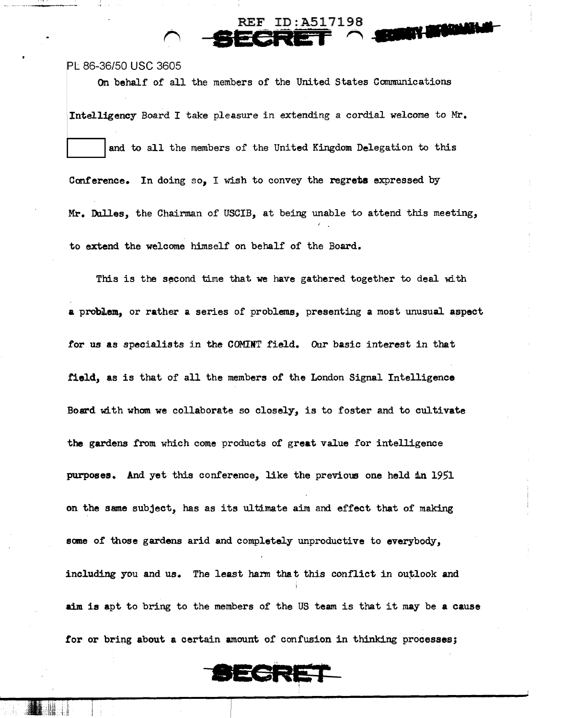PL 86-36/50 USC 3605

On behalf of all the members of the United States Communications

**REF ID:A517198** 

**THE MANAGER** 

Intelligency Board I take pleasure in extending a cordial welcome to Mr. and to all the members of the United Kingdom Delegation to this Conference. In doing so, I wish to convey the regrets expressed by Mr. Dulles, the Chairman of USCIB, at being unable to attend this meeting, to extend the welcome himself on behalf of the Board.

This is the second time that we have gathered together to deal with a problem, or rather a series of problems, presenting a most unusual aspect for us as specialists in the COMINT field. Our basic interest in that field, as is that of all the members of the London Signal Intelligence Board with wham we collaborate so closely, is to foster and to cultivate the gardens from which come products of great value for intelligence purposes. And yet this conference, like the previous one held in 1951 on the same subject, has as its ultimate aim and effect that of making some of those gardens arid and completely unproductive to everybody, including you and us. The least harm that this conflict in outlook and aim is apt to bring to the members of the US team is that it may be a cause for or bring about a certain amount of confusion in thinking processes;